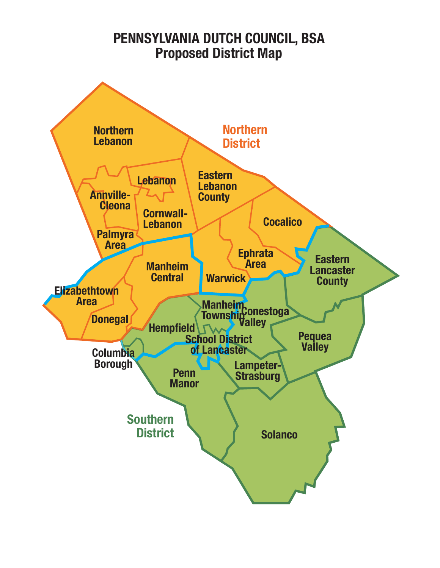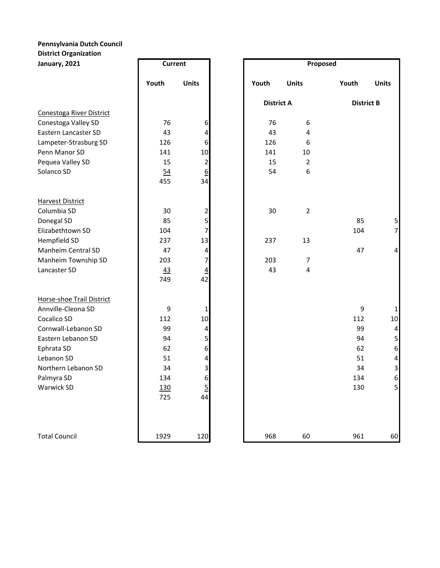## **Pennsylvania Dutch Council District Organization**

| January, 2021             | <b>Current</b> |                         |       | Proposed             |       |                         |  |
|---------------------------|----------------|-------------------------|-------|----------------------|-------|-------------------------|--|
|                           | Youth          | <b>Units</b>            | Youth | <b>Units</b>         | Youth | <b>Units</b>            |  |
|                           |                |                         |       | <b>District A</b>    |       | <b>District B</b>       |  |
| Conestoga River District  |                |                         |       |                      |       |                         |  |
| Conestoga Valley SD       | 76             | 6                       |       | 76<br>6              |       |                         |  |
| Eastern Lancaster SD      | 43             | 4                       |       | 43<br>4              |       |                         |  |
| Lampeter-Strasburg SD     | 126            | 6                       | 126   | 6                    |       |                         |  |
| Penn Manor SD             | 141            | 10                      | 141   | 10                   |       |                         |  |
| Pequea Valley SD          | 15             | $\overline{\mathbf{c}}$ |       | 15<br>$\overline{2}$ |       |                         |  |
| Solanco SD                | 54             | 6                       |       | 54<br>6              |       |                         |  |
|                           | 455            | 34                      |       |                      |       |                         |  |
| <b>Harvest District</b>   |                |                         |       |                      |       |                         |  |
| Columbia SD               | 30             | $\overline{\mathbf{c}}$ |       | 30<br>$\overline{2}$ |       |                         |  |
| Donegal SD                | 85             | 5                       |       |                      | 85    | 5                       |  |
| Elizabethtown SD          | 104            | 7                       |       |                      | 104   | $\overline{7}$          |  |
| Hempfield SD              | 237            | 13                      | 237   | 13                   |       |                         |  |
| Manheim Central SD        | 47             | 4                       |       |                      | 47    | $\overline{\mathbf{r}}$ |  |
| Manheim Township SD       | 203            | 7                       | 203   | $\overline{7}$       |       |                         |  |
| Lancaster SD              | 43             | $\overline{4}$          |       | 43<br>4              |       |                         |  |
|                           | 749            | 42                      |       |                      |       |                         |  |
| Horse-shoe Trail District |                |                         |       |                      |       |                         |  |
| Annville-Cleona SD        | 9              | 1                       |       |                      | 9     | $\mathbf{1}$            |  |
| Cocalico SD               | 112            | 10                      |       |                      | 112   | 10                      |  |
| Cornwall-Lebanon SD       | 99             | 4                       |       |                      | 99    | $\overline{a}$          |  |
| Eastern Lebanon SD        | 94             | 5                       |       |                      | 94    | 5                       |  |
| Ephrata SD                | 62             | 6                       |       |                      | 62    | 6                       |  |
| Lebanon SD                | 51             | 4                       |       |                      | 51    | $\overline{a}$          |  |
| Northern Lebanon SD       | 34             | 3                       |       |                      | 34    | 3                       |  |
| Palmyra SD                | 134            | $6\vert$                |       |                      | 134   | $6 \mid$                |  |
| Warwick SD                | 130            | 5                       |       |                      | 130   | 5 <sub>l</sub>          |  |
|                           | 725            | 44                      |       |                      |       |                         |  |
| <b>Total Council</b>      | 1929           | 120                     | 968   | 60                   | 961   | 60                      |  |